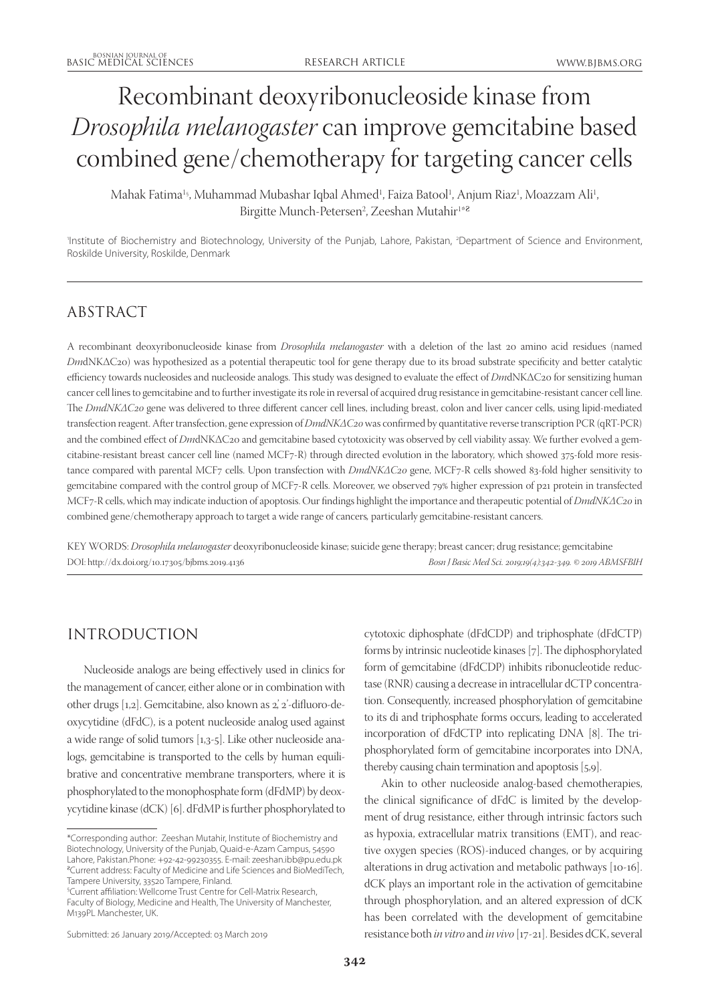# Recombinant deoxyribonucleoside kinase from *Drosophila melanogaster* can improve gemcitabine based combined gene/chemotherapy for targeting cancer cells

Mahak Fatima<sup>1</sup>§, Muhammad Mubashar Iqbal Ahmed<sup>1</sup>, Faiza Batool<sup>1</sup>, Anjum Riaz<sup>1</sup>, Moazzam Ali<sup>1</sup>, Birgitte Munch-Petersen<sup>2</sup>, Zeeshan Mutahir<sup>1\*8</sup>

'Institute of Biochemistry and Biotechnology, University of the Punjab, Lahore, Pakistan, <sup>2</sup>Department of Science and Environment, Roskilde University, Roskilde, Denmark

## ABSTRACT

A recombinant deoxyribonucleoside kinase from *Drosophila melanogaster* with a deletion of the last 20 amino acid residues (named *Dm*dNKΔC20) was hypothesized as a potential therapeutic tool for gene therapy due to its broad substrate specificity and better catalytic efficiency towards nucleosides and nucleoside analogs. This study was designed to evaluate the effect of *Dm*dNKΔC20 for sensitizing human cancer cell lines to gemcitabine and to further investigate its role in reversal of acquired drug resistance in gemcitabine-resistant cancer cell line. The *DmdNKΔC20* gene was delivered to three different cancer cell lines, including breast, colon and liver cancer cells, using lipid-mediated transfection reagent. After transfection, gene expression of *DmdNKΔC20* was confirmed by quantitative reverse transcription PCR (qRT-PCR) and the combined effect of *Dm*dNKΔC20 and gemcitabine based cytotoxicity was observed by cell viability assay. We further evolved a gemcitabine-resistant breast cancer cell line (named MCF7-R) through directed evolution in the laboratory, which showed 375-fold more resistance compared with parental MCF7 cells. Upon transfection with *DmdNKΔC20* gene, MCF7-R cells showed 83-fold higher sensitivity to gemcitabine compared with the control group of MCF7-R cells. Moreover, we observed 79% higher expression of p21 protein in transfected MCF7-R cells, which may indicate induction of apoptosis. Our findings highlight the importance and therapeutic potential of *DmdNKΔC20* in combined gene/chemotherapy approach to target a wide range of cancers*,* particularly gemcitabine-resistant cancers.

KEY WORDS: *Drosophila melanogaster* deoxyribonucleoside kinase; suicide gene therapy; breast cancer; drug resistance; gemcitabine DOI: http://dx.doi.org/10.17305/bjbms.2019.4136 *Bosn J Basic Med Sci. 2019;19(4):342-349. © 2019 ABMSFBIH*

# INTRODUCTION

Nucleoside analogs are being effectively used in clinics for the management of cancer, either alone or in combination with other drugs [1,2]. Gemcitabine, also known as 2', 2'-difluoro-deoxycytidine (dFdC), is a potent nucleoside analog used against a wide range of solid tumors [1,3-5]. Like other nucleoside analogs, gemcitabine is transported to the cells by human equilibrative and concentrative membrane transporters, where it is phosphorylated to the monophosphate form (dFdMP) by deoxycytidine kinase (dCK) [6]. dFdMP is further phosphorylated to cytotoxic diphosphate (dFdCDP) and triphosphate (dFdCTP) forms by intrinsic nucleotide kinases [7]. The diphosphorylated form of gemcitabine (dFdCDP) inhibits ribonucleotide reductase (RNR) causing a decrease in intracellular dCTP concentration. Consequently, increased phosphorylation of gemcitabine to its di and triphosphate forms occurs, leading to accelerated incorporation of dFdCTP into replicating DNA [8]. The triphosphorylated form of gemcitabine incorporates into DNA, thereby causing chain termination and apoptosis [5,9].

Akin to other nucleoside analog-based chemotherapies, the clinical significance of dFdC is limited by the development of drug resistance, either through intrinsic factors such as hypoxia, extracellular matrix transitions (EMT), and reactive oxygen species (ROS)-induced changes, or by acquiring alterations in drug activation and metabolic pathways [10-16]. dCK plays an important role in the activation of gemcitabine through phosphorylation, and an altered expression of dCK has been correlated with the development of gemcitabine resistance both *in vitro* and *in vivo* [17-21]. Besides dCK, several

<sup>\*</sup>Corresponding author: Zeeshan Mutahir, Institute of Biochemistry and Biotechnology, University of the Punjab, Quaid-e-Azam Campus, 54590 Lahore, Pakistan.Phone: +92-42-99230355. E-mail: zeeshan.ibb@pu.edu.pk <sup>a</sup>Current address: Faculty of Medicine and Life Sciences and BioMediTech, Tampere University, 33520 Tampere, Finland.

<sup>§</sup> Current affiliation: Wellcome Trust Centre for Cell-Matrix Research, Faculty of Biology, Medicine and Health, The University of Manchester, M139PL Manchester, UK.

Submitted: 26 January 2019/Accepted: 03 March 2019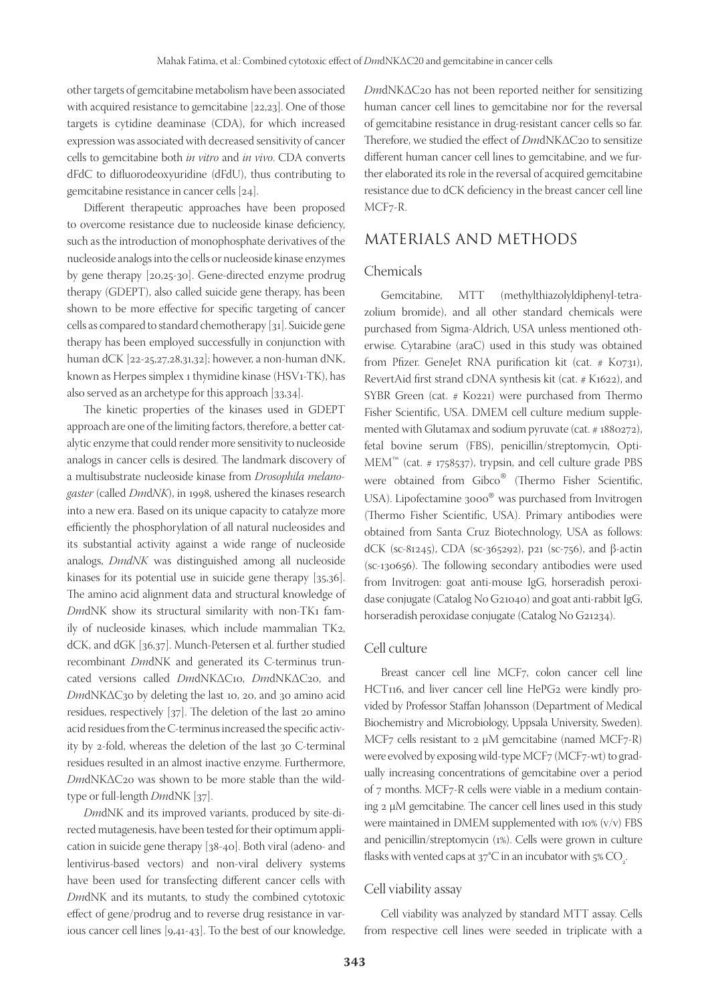other targets of gemcitabine metabolism have been associated with acquired resistance to gemcitabine [22,23]. One of those targets is cytidine deaminase (CDA), for which increased expression was associated with decreased sensitivity of cancer cells to gemcitabine both *in vitro* and *in vivo*. CDA converts dFdC to difluorodeoxyuridine (dFdU), thus contributing to gemcitabine resistance in cancer cells [24].

Different therapeutic approaches have been proposed to overcome resistance due to nucleoside kinase deficiency, such as the introduction of monophosphate derivatives of the nucleoside analogs into the cells or nucleoside kinase enzymes by gene therapy [20,25-30]. Gene-directed enzyme prodrug therapy (GDEPT), also called suicide gene therapy, has been shown to be more effective for specific targeting of cancer cells as compared to standard chemotherapy [31]. Suicide gene therapy has been employed successfully in conjunction with human dCK [22-25,27,28,31,32]; however, a non-human dNK, known as Herpes simplex 1 thymidine kinase (HSV1-TK), has also served as an archetype for this approach [33,34].

The kinetic properties of the kinases used in GDEPT approach are one of the limiting factors, therefore, a better catalytic enzyme that could render more sensitivity to nucleoside analogs in cancer cells is desired. The landmark discovery of a multisubstrate nucleoside kinase from *Drosophila melanogaster* (called *Dm*d*NK*), in 1998, ushered the kinases research into a new era. Based on its unique capacity to catalyze more efficiently the phosphorylation of all natural nucleosides and its substantial activity against a wide range of nucleoside analogs, *DmdNK* was distinguished among all nucleoside kinases for its potential use in suicide gene therapy [35,36]. The amino acid alignment data and structural knowledge of *Dm*dNK show its structural similarity with non-TK1 family of nucleoside kinases, which include mammalian TK2, dCK, and dGK [36,37]. Munch-Petersen et al. further studied recombinant *Dm*dNK and generated its C-terminus truncated versions called *Dm*dNKΔC10, *Dm*dNKΔC20, and *Dm*dNKΔC30 by deleting the last 10, 20, and 30 amino acid residues, respectively [37]. The deletion of the last 20 amino acid residues from the C-terminus increased the specific activity by 2-fold, whereas the deletion of the last 30 C-terminal residues resulted in an almost inactive enzyme. Furthermore, *Dm*dNKΔC20 was shown to be more stable than the wildtype or full-length *Dm*dNK [37].

*Dm*dNK and its improved variants, produced by site-directed mutagenesis, have been tested for their optimum application in suicide gene therapy [38-40]. Both viral (adeno- and lentivirus-based vectors) and non-viral delivery systems have been used for transfecting different cancer cells with *Dm*dNK and its mutants, to study the combined cytotoxic effect of gene/prodrug and to reverse drug resistance in various cancer cell lines [9,41-43]. To the best of our knowledge,

*Dm*dNKΔC20 has not been reported neither for sensitizing human cancer cell lines to gemcitabine nor for the reversal of gemcitabine resistance in drug-resistant cancer cells so far. Therefore, we studied the effect of *Dm*dNKΔC20 to sensitize different human cancer cell lines to gemcitabine, and we further elaborated its role in the reversal of acquired gemcitabine resistance due to dCK deficiency in the breast cancer cell line MCF7-R.

## MATERIALS AND METHODS

#### Chemicals

Gemcitabine, MTT (methylthiazolyldiphenyl-tetrazolium bromide), and all other standard chemicals were purchased from Sigma-Aldrich, USA unless mentioned otherwise. Cytarabine (araC) used in this study was obtained from Pfizer. GeneJet RNA purification kit (cat. # K0731), RevertAid first strand cDNA synthesis kit (cat. # K1622), and SYBR Green (cat. # K0221) were purchased from Thermo Fisher Scientific, USA. DMEM cell culture medium supplemented with Glutamax and sodium pyruvate (cat. # 1880272), fetal bovine serum (FBS), penicillin/streptomycin, Opti- $MEM^m$  (cat. # 1758537), trypsin, and cell culture grade PBS were obtained from Gibco<sup>®</sup> (Thermo Fisher Scientific,<br>USA). Lipofectamine 3000<sup>®</sup> was purchased from Invitrogen USA). Lipofectamine 3000® (Thermo Fisher Scientific, USA). Primary antibodies were USA). Lipofectamine 3000<sup>®</sup> was purchased from Invitrogen obtained from Santa Cruz Biotechnology, USA as follows: dCK (sc-81245), CDA (sc-365292), p21 (sc-756), and β-actin (sc-130656). The following secondary antibodies were used from Invitrogen: goat anti-mouse IgG, horseradish peroxidase conjugate (Catalog No G21040) and goat anti-rabbit IgG, horseradish peroxidase conjugate (Catalog No G21234).

#### Cell culture

Breast cancer cell line MCF7, colon cancer cell line HCT116, and liver cancer cell line HePG2 were kindly provided by Professor Staffan Johansson (Department of Medical Biochemistry and Microbiology, Uppsala University, Sweden). MCF7 cells resistant to 2  $\mu$ M gemcitabine (named MCF7-R) were evolved by exposing wild-type MCF7 (MCF7-wt) to gradually increasing concentrations of gemcitabine over a period of 7 months. MCF7-R cells were viable in a medium containing 2 µM gemcitabine. The cancer cell lines used in this study were maintained in DMEM supplemented with 10% (v/v) FBS and penicillin/streptomycin (1%). Cells were grown in culture flasks with vented caps at  $37^{\circ}$ C in an incubator with  $5\%$  CO<sub>2</sub>. .

#### Cell viability assay

Cell viability was analyzed by standard MTT assay. Cells from respective cell lines were seeded in triplicate with a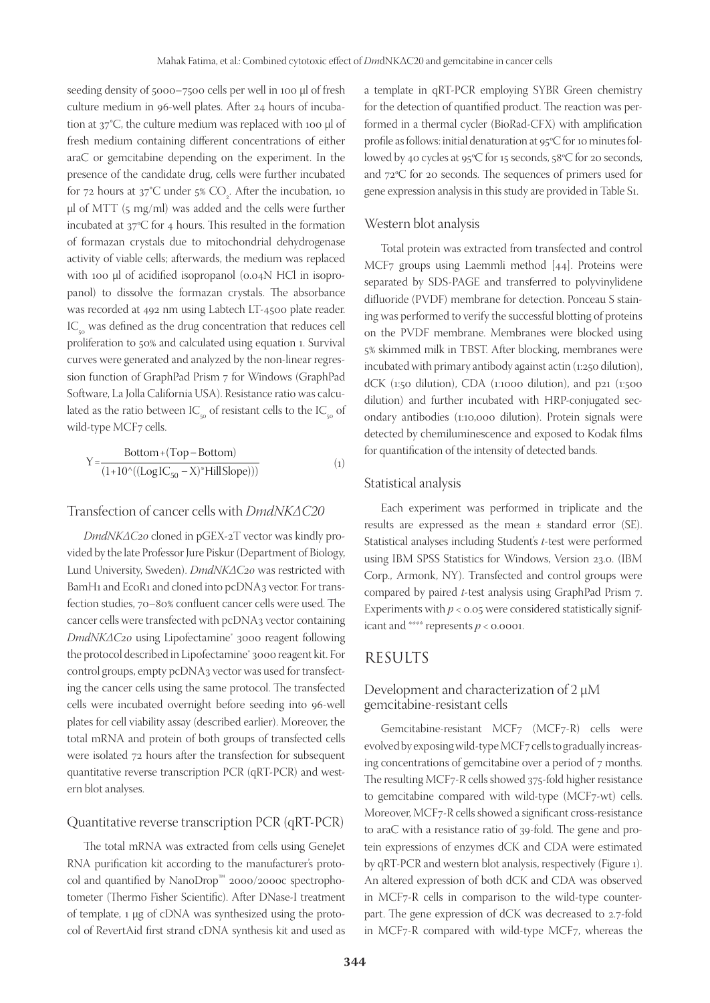seeding density of 5000–7500 cells per well in 100 µl of fresh culture medium in 96-well plates. After 24 hours of incubation at  $37^{\circ}$ C, the culture medium was replaced with 100 µl of fresh medium containing different concentrations of either araC or gemcitabine depending on the experiment. In the presence of the candidate drug, cells were further incubated for 72 hours at  $37^{\circ}$ C under 5%  $\text{CO}_2$ . After the incubation, 10 µl of MTT (5 mg/ml) was added and the cells were further incubated at 37ºC for 4 hours. This resulted in the formation of formazan crystals due to mitochondrial dehydrogenase activity of viable cells; afterwards, the medium was replaced with 100 µl of acidified isopropanol (0.04N HCl in isopropanol) to dissolve the formazan crystals. The absorbance was recorded at 492 nm using Labtech LT-4500 plate reader.  $IC_{\alpha}$  was defined as the drug concentration that reduces cell proliferation to 50% and calculated using equation 1. Survival curves were generated and analyzed by the non-linear regression function of GraphPad Prism 7 for Windows (GraphPad Software, La Jolla California USA). Resistance ratio was calculated as the ratio between  $IC_{\sim}$  of resistant cells to the  $IC_{\sim}$  of wild-type MCF7 cells.

$$
Y = \frac{Bottom + (Top - Bottom)}{(1 + 10^{\wedge} ((Log IC_{50} - X)^*HillSlope)))}
$$
(1)

#### Transfection of cancer cells with *DmdNKΔC20*

*DmdNKΔC20* cloned in pGEX-2T vector was kindly provided by the late Professor Jure Piskur (Department of Biology, Lund University, Sweden). *DmdNKΔC20* was restricted with BamH1 and EcoR1 and cloned into pcDNA3 vector. For transfection studies, 70–80% confluent cancer cells were used. The cancer cells were transfected with pcDNA3 vector containing *DmdNKΔC20* using Lipofectamine<sup>®</sup> 3000 reagent following the protocol described in Lipofectamine® 3000 reagent kit. For control groups, empty pcDNA3 vector was used for transfecting the cancer cells using the same protocol. The transfected cells were incubated overnight before seeding into 96-well plates for cell viability assay (described earlier). Moreover, the total mRNA and protein of both groups of transfected cells were isolated 72 hours after the transfection for subsequent quantitative reverse transcription PCR (qRT-PCR) and western blot analyses.

#### Quantitative reverse transcription PCR (qRT-PCR)

The total mRNA was extracted from cells using GeneJet RNA purification kit according to the manufacturer's protocol and quantified by NanoDrop™ 2000/2000c spectrophotometer (Thermo Fisher Scientific). After DNase-I treatment of template, 1 µg of cDNA was synthesized using the protocol of RevertAid first strand cDNA synthesis kit and used as a template in qRT-PCR employing SYBR Green chemistry for the detection of quantified product. The reaction was performed in a thermal cycler (BioRad-CFX) with amplification profile as follows: initial denaturation at 95ºC for 10 minutes followed by 40 cycles at 95ºC for 15 seconds, 58ºC for 20 seconds, and 72ºC for 20 seconds. The sequences of primers used for gene expression analysis in this study are provided in Table S1.

#### Western blot analysis

Total protein was extracted from transfected and control MCF7 groups using Laemmli method [44]. Proteins were separated by SDS-PAGE and transferred to polyvinylidene difluoride (PVDF) membrane for detection. Ponceau S staining was performed to verify the successful blotting of proteins on the PVDF membrane. Membranes were blocked using 5% skimmed milk in TBST. After blocking, membranes were incubated with primary antibody against actin (1:250 dilution), dCK (1:50 dilution), CDA (1:1000 dilution), and p21 (1:500 dilution) and further incubated with HRP-conjugated secondary antibodies (1:10,000 dilution). Protein signals were detected by chemiluminescence and exposed to Kodak films for quantification of the intensity of detected bands.

#### Statistical analysis

Each experiment was performed in triplicate and the results are expressed as the mean  $\pm$  standard error (SE). Statistical analyses including Student's *t*-test were performed using IBM SPSS Statistics for Windows, Version 23.0. (IBM Corp., Armonk, NY). Transfected and control groups were compared by paired *t*-test analysis using GraphPad Prism 7. Experiments with  $p < 0.05$  were considered statistically significant and \*\*\*\* represents  $p < 0.0001$ .

## RESULTS

## Development and characterization of 2 µM gemcitabine-resistant cells

Gemcitabine-resistant MCF7 (MCF7-R) cells were evolved by exposing wild-type MCF7 cells to gradually increasing concentrations of gemcitabine over a period of 7 months. The resulting MCF7-R cells showed 375-fold higher resistance to gemcitabine compared with wild-type (MCF7-wt) cells. Moreover, MCF7-R cells showed a significant cross-resistance to araC with a resistance ratio of 39-fold. The gene and protein expressions of enzymes dCK and CDA were estimated by qRT-PCR and western blot analysis, respectively (Figure 1). An altered expression of both dCK and CDA was observed in MCF7-R cells in comparison to the wild-type counterpart. The gene expression of dCK was decreased to 2.7-fold in MCF7-R compared with wild-type MCF7, whereas the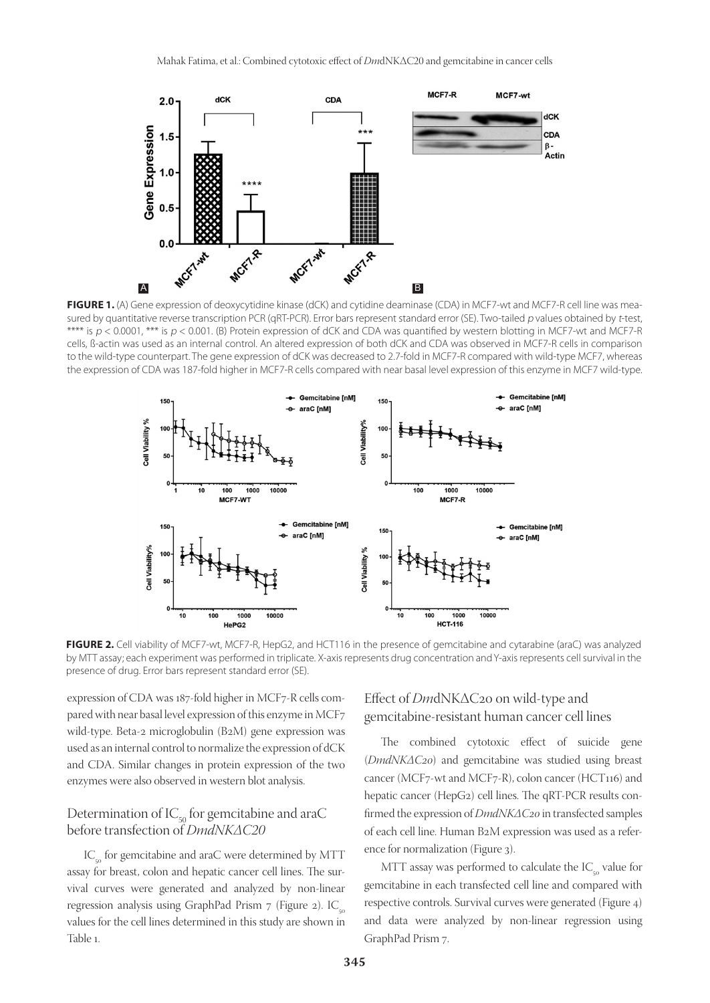

FIGURE 1. (A) Gene expression of deoxycytidine kinase (dCK) and cytidine deaminase (CDA) in MCF7-wt and MCF7-R cell line was measured by quantitative reverse transcription PCR (qRT-PCR). Error bars represent standard error (SE). Two-tailed p values obtained by t-test, \*\*\*\* is  $p < 0.0001$ , \*\*\* is  $p < 0.001$ . (B) Protein expression of dCK and CDA was quantified by western blotting in MCF7-wt and MCF7-R cells, ß-actin was used as an internal control. An altered expression of both dCK and CDA was observed in MCF7-R cells in comparison to the wild-type counterpart. The gene expression of dCK was decreased to 2.7-fold in MCF7-R compared with wild-type MCF7, whereas the expression of CDA was 187-fold higher in MCF7-R cells compared with near basal level expression of this enzyme in MCF7 wild-type.



**FIGURE 2.** Cell viability of MCF7-wt, MCF7-R, HepG2, and HCT116 in the presence of gemcitabine and cytarabine (araC) was analyzed by MTT assay; each experiment was performed in triplicate. X-axis represents drug concentration and Y-axis represents cell survival in the presence of drug. Error bars represent standard error (SE).

expression of CDA was 187-fold higher in MCF7-R cells compared with near basal level expression of this enzyme in MCF7 wild-type. Beta-2 microglobulin (B2M) gene expression was used as an internal control to normalize the expression of dCK and CDA. Similar changes in protein expression of the two enzymes were also observed in western blot analysis.

#### Determination of  $IC_{50}$  for gemcitabine and araC before transfection of *DmdNKΔC20*

 $IC_{50}$  for gemcitabine and araC were determined by MTT assay for breast, colon and hepatic cancer cell lines. The survival curves were generated and analyzed by non-linear regression analysis using GraphPad Prism  $7$  (Figure 2). IC<sub>50</sub> values for the cell lines determined in this study are shown in Table 1.

## Effect of *Dm*dNKΔC20 on wild-type and gemcitabine-resistant human cancer cell lines

The combined cytotoxic effect of suicide gene (*DmdNKΔC20*) and gemcitabine was studied using breast cancer (MCF7-wt and MCF7-R), colon cancer (HCT116) and hepatic cancer (HepG2) cell lines. The qRT-PCR results confirmed the expression of *DmdNKΔC20* in transfected samples of each cell line. Human B2M expression was used as a reference for normalization (Figure 3).

MTT assay was performed to calculate the  $IC_{50}$  value for gemcitabine in each transfected cell line and compared with respective controls. Survival curves were generated (Figure 4) and data were analyzed by non-linear regression using GraphPad Prism 7.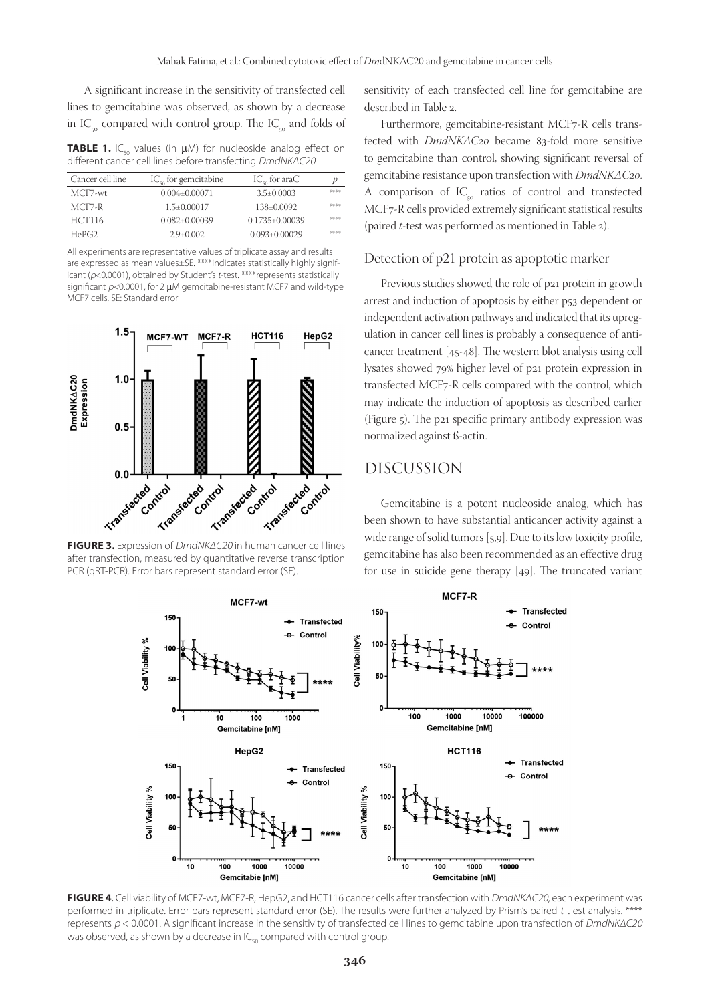A significant increase in the sensitivity of transfected cell lines to gemcitabine was observed, as shown by a decrease in IC<sub>50</sub> compared with control group. The IC<sub>50</sub> and folds of

**TABLE 1.** IC<sub>50</sub> values (in  $\mu$ M) for nucleoside analog effect on different cancer cell lines before transfecting DmdNKΔC20

| Cancer cell line | $IC_{50}$ for gemcitabine | $IC_{50}$ for araC   | p    |
|------------------|---------------------------|----------------------|------|
| MCF7-wt          | $0.004 \pm 0.00071$       | $3.5 \pm 0.0003$     | 委託委託 |
| $MCF7-R$         | $1.5 \pm 0.00017$         | $138\pm0.0092$       | 委託委託 |
| <b>HCT116</b>    | $0.082 \pm 0.00039$       | $0.1735 \pm 0.00039$ | 委託委託 |
| HePG2            | $2.9 + 0.002$             | $0.093 \pm 0.00029$  | 委託委託 |

All experiments are representative values of triplicate assay and results are expressed as mean values±SE. \*\*\*\*indicates statistically highly significant (p<0.0001), obtained by Student's t-test. \*\*\*\*represents statistically significant  $p<0.0001$ , for 2 µM gemcitabine-resistant MCF7 and wild-type MCF7 cells. SE: Standard error



after transfection, measured by quantitative reverse transcription PCR (qRT-PCR). Error bars represent standard error (SE).

sensitivity of each transfected cell line for gemcitabine are described in Table 2.

Furthermore, gemcitabine-resistant MCF7-R cells transfected with *DmdNKΔC20* became 83-fold more sensitive to gemcitabine than control, showing significant reversal of gemcitabine resistance upon transfection with *DmdNKΔC20*. A comparison of  $IC_{50}$  ratios of control and transfected MCF7-R cells provided extremely significant statistical results (paired *t*-test was performed as mentioned in Table 2).

#### Detection of p21 protein as apoptotic marker

Previous studies showed the role of p21 protein in growth arrest and induction of apoptosis by either p53 dependent or independent activation pathways and indicated that its upregulation in cancer cell lines is probably a consequence of anticancer treatment [45-48]. The western blot analysis using cell lysates showed 79% higher level of p21 protein expression in transfected MCF7-R cells compared with the control, which may indicate the induction of apoptosis as described earlier (Figure 5). The p21 specific primary antibody expression was normalized against ß-actin.

## DISCUSSION

Gemcitabine is a potent nucleoside analog, which has been shown to have substantial anticancer activity against a wide range of solid tumors [5,9]. Due to its low toxicity profile, gemcitabine has also been recommended as an effective drug for use in suicide gene therapy [49]. The truncated variant



**FIGURE 4**. Cell viability of MCF7-wt, MCF7-R, HepG2, and HCT116 cancer cells after transfection with DmdNKΔC20; each experiment was performed in triplicate. Error bars represent standard error (SE). The results were further analyzed by Prism's paired t-t est analysis. \*\*\*\* represents p < 0.0001. A significant increase in the sensitivity of transfected cell lines to gemcitabine upon transfection of DmdNKΔC20 was observed, as shown by a decrease in  $IC_{50}$  compared with control group.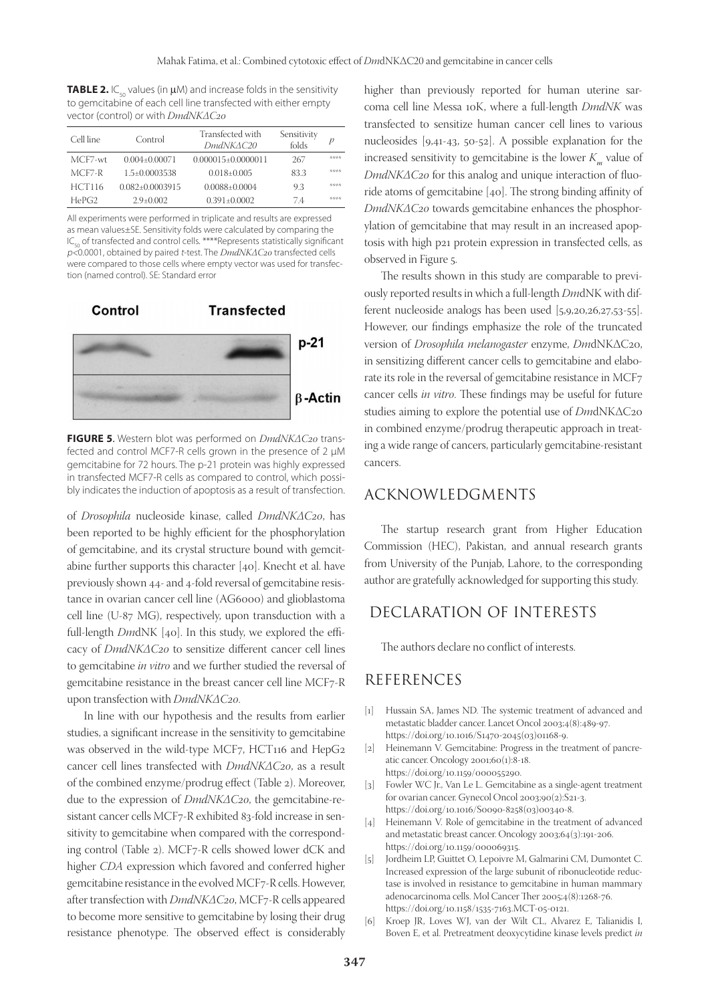**TABLE 2.**  $IC_{50}$  values (in  $\mu$ M) and increase folds in the sensitivity to gemcitabine of each cell line transfected with either empty vector (control) or with *DmdNKΔC20*

| Cell line     | Control               | Transfected with<br>DmdNKAC20 | Sensitivity<br>folds | p    |
|---------------|-----------------------|-------------------------------|----------------------|------|
| MCF7-wt       | $0.004 + 0.00071$     | $0.000015 + 0.0000011$        | 267                  | 动物治院 |
| $MCF7-R$      | $1.5 \pm 0.0003538$   | $0.018 \pm 0.005$             | 83.3                 | 动物治院 |
| <b>HCT116</b> | $0.082 \pm 0.0003915$ | $0.0088 + 0.0004$             | 9.3                  | 动物治院 |
| HePG2         | $2.9 + 0.002$         | $0.391 + 0.0002$              | 74                   | 动物治院 |

All experiments were performed in triplicate and results are expressed as mean values±SE. Sensitivity folds were calculated by comparing the  $IC_{50}$  of transfected and control cells. \*\*\*\*Represents statistically significant p<0.0001, obtained by paired t-test. The *DmdNKΔC20* transfected cells were compared to those cells where empty vector was used for transfection (named control). SE: Standard error



**FIGURE 5**. Western blot was performed on *DmdNKΔC20* transfected and control MCF7-R cells grown in the presence of 2 µM gemcitabine for 72 hours. The p-21 protein was highly expressed in transfected MCF7-R cells as compared to control, which possibly indicates the induction of apoptosis as a result of transfection.

of *Drosophila* nucleoside kinase, called *DmdNKΔC20*, has been reported to be highly efficient for the phosphorylation of gemcitabine, and its crystal structure bound with gemcitabine further supports this character [40]. Knecht et al. have previously shown 44- and 4-fold reversal of gemcitabine resistance in ovarian cancer cell line (AG6000) and glioblastoma cell line (U-87 MG), respectively, upon transduction with a full-length *Dm*dNK [40]. In this study, we explored the efficacy of *DmdNKΔC20* to sensitize different cancer cell lines to gemcitabine *in vitro* and we further studied the reversal of gemcitabine resistance in the breast cancer cell line MCF7-R upon transfection with *DmdNKΔC20*.

In line with our hypothesis and the results from earlier studies, a significant increase in the sensitivity to gemcitabine was observed in the wild-type MCF7, HCT116 and HepG2 cancer cell lines transfected with *DmdNKΔC20*, as a result of the combined enzyme/prodrug effect (Table 2). Moreover, due to the expression of *DmdNKΔC20*, the gemcitabine-resistant cancer cells MCF7-R exhibited 83-fold increase in sensitivity to gemcitabine when compared with the corresponding control (Table 2). MCF7-R cells showed lower dCK and higher *CDA* expression which favored and conferred higher gemcitabine resistance in the evolved MCF7-R cells. However, after transfection with *DmdNKΔC20*, MCF7-R cells appeared to become more sensitive to gemcitabine by losing their drug resistance phenotype. The observed effect is considerably

higher than previously reported for human uterine sarcoma cell line Messa 10K, where a full-length *DmdNK* was transfected to sensitize human cancer cell lines to various nucleosides [9,41-43, 50-52]. A possible explanation for the increased sensitivity to gemcitabine is the lower  $K<sub>m</sub>$  value of *DmdNKΔC20* for this analog and unique interaction of fluoride atoms of gemcitabine [40]. The strong binding affinity of *DmdNKΔC20* towards gemcitabine enhances the phosphorylation of gemcitabine that may result in an increased apoptosis with high p21 protein expression in transfected cells, as observed in Figure 5.

The results shown in this study are comparable to previously reported results in which a full-length *Dm*dNK with different nucleoside analogs has been used [5,9,20,26,27,53-55]. However, our findings emphasize the role of the truncated version of *Drosophila melanogaster* enzyme, *Dm*dNKΔC20, in sensitizing different cancer cells to gemcitabine and elaborate its role in the reversal of gemcitabine resistance in MCF7 cancer cells *in vitro*. These findings may be useful for future studies aiming to explore the potential use of *Dm*dNKΔC20 in combined enzyme/prodrug therapeutic approach in treating a wide range of cancers, particularly gemcitabine-resistant cancers.

## ACKNOWLEDGMENTS

The startup research grant from Higher Education Commission (HEC), Pakistan, and annual research grants from University of the Punjab, Lahore, to the corresponding author are gratefully acknowledged for supporting this study.

## DECLARATION OF INTERESTS

The authors declare no conflict of interests.

## REFERENCES

- [1] Hussain SA, James ND. The systemic treatment of advanced and metastatic bladder cancer. Lancet Oncol 2003;4(8):489-97. https://doi.org/10.1016/S1470-2045(03)01168-9.
- [2] Heinemann V. Gemcitabine: Progress in the treatment of pancreatic cancer. Oncology 2001;60(1):8-18. https://doi.org/10.1159/000055290.
- [3] Fowler WC Jr., Van Le L. Gemcitabine as a single-agent treatment for ovarian cancer. Gynecol Oncol 2003;90(2):S21-3. https://doi.org/10.1016/S0090-8258(03)00340-8.
- [4] Heinemann V. Role of gemcitabine in the treatment of advanced and metastatic breast cancer. Oncology 2003;64(3):191-206. https://doi.org/10.1159/000069315.
- [5] Jordheim LP, Guittet O, Lepoivre M, Galmarini CM, Dumontet C. Increased expression of the large subunit of ribonucleotide reductase is involved in resistance to gemcitabine in human mammary adenocarcinoma cells. Mol Cancer Ther 2005;4(8):1268-76. https://doi.org/10.1158/1535-7163.MCT-05-0121.
- [6] Kroep JR, Loves WJ, van der Wilt CL, Alvarez E, Talianidis I, Boven E, et al. Pretreatment deoxycytidine kinase levels predict *in*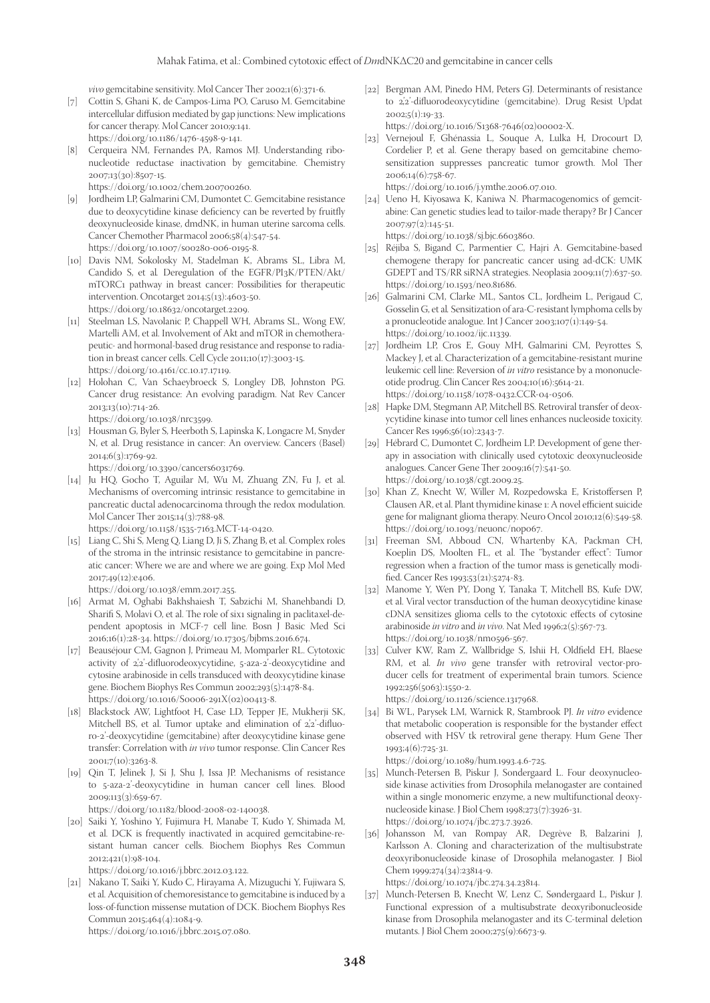*vivo* gemcitabine sensitivity. Mol Cancer Ther 2002;1(6):371-6.

- [7] Cottin S, Ghani K, de Campos-Lima PO, Caruso M. Gemcitabine intercellular diffusion mediated by gap junctions: New implications for cancer therapy. Mol Cancer 2010;9:141. https://doi.org/10.1186/1476-4598-9-141.
- [8] Cerqueira NM, Fernandes PA, Ramos MJ. Understanding ribonucleotide reductase inactivation by gemcitabine. Chemistry 2007;13(30):8507-15. https://doi.org/10.1002/chem.200700260.

[9] Jordheim LP, Galmarini CM, Dumontet C. Gemcitabine resistance

- due to deoxycytidine kinase deficiency can be reverted by fruitfly deoxynucleoside kinase, dmdNK, in human uterine sarcoma cells. Cancer Chemother Pharmacol 2006;58(4):547-54. https://doi.org/10.1007/s00280-006-0195-8.
- [10] Davis NM, Sokolosky M, Stadelman K, Abrams SL, Libra M, Candido S, et al*.* Deregulation of the EGFR/PI3K/PTEN/Akt/ mTORC1 pathway in breast cancer: Possibilities for therapeutic intervention. Oncotarget 2014;5(13):4603-50. https://doi.org/10.18632/oncotarget.2209.
- [11] Steelman LS, Navolanic P, Chappell WH, Abrams SL, Wong EW, Martelli AM, et al. Involvement of Akt and mTOR in chemotherapeutic- and hormonal-based drug resistance and response to radiation in breast cancer cells. Cell Cycle 2011;10(17):3003-15. https://doi.org/10.4161/cc.10.17.17119.
- [12] Holohan C, Van Schaeybroeck S, Longley DB, Johnston PG. Cancer drug resistance: An evolving paradigm. Nat Rev Cancer 2013;13(10):714-26.

https://doi.org/10.1038/nrc3599.

[13] Housman G, Byler S, Heerboth S, Lapinska K, Longacre M, Snyder N, et al. Drug resistance in cancer: An overview. Cancers (Basel) 2014;6(3):1769-92.

https://doi.org/10.3390/cancers6031769.

[14] Ju HQ, Gocho T, Aguilar M, Wu M, Zhuang ZN, Fu J, et al. Mechanisms of overcoming intrinsic resistance to gemcitabine in pancreatic ductal adenocarcinoma through the redox modulation. Mol Cancer Ther 2015;14(3):788-98.

https://doi.org/10.1158/1535-7163.MCT-14-0420.

[15] Liang C, Shi S, Meng Q, Liang D, Ji S, Zhang B, et al. Complex roles of the stroma in the intrinsic resistance to gemcitabine in pancreatic cancer: Where we are and where we are going. Exp Mol Med 2017;49(12):e406.

https://doi.org/10.1038/emm.2017.255.

- [16] Armat M, Oghabi Bakhshaiesh T, Sabzichi M, Shanehbandi D, Sharifi S, Molavi O, et al. The role of six1 signaling in paclitaxel-dependent apoptosis in MCF-7 cell line. Bosn J Basic Med Sci 2016;16(1):28-34. https://doi.org/10.17305/bjbms.2016.674.
- [17] Beauséjour CM, Gagnon J, Primeau M, Momparler RL. Cytotoxic activity of 2'<sub>2</sub>'-difluorodeoxycytidine, 5-aza-2'-deoxycytidine and cytosine arabinoside in cells transduced with deoxycytidine kinase gene. Biochem Biophys Res Commun 2002;293(5):1478-84. https://doi.org/10.1016/S0006-291X(02)00413-8.
- [18] Blackstock AW, Lightfoot H, Case LD, Tepper JE, Mukherji SK, Mitchell BS, et al. Tumor uptake and elimination of 2'<sub>2</sub>'-difluoro-2'-deoxycytidine (gemcitabine) after deoxycytidine kinase gene transfer: Correlation with *in vivo* tumor response. Clin Cancer Res 2001;7(10):3263-8.
- [19] Qin T, Jelinek J, Si J, Shu J, Issa JP. Mechanisms of resistance to 5-aza-2'-deoxycytidine in human cancer cell lines. Blood 2009;113(3):659-67.

https://doi.org/10.1182/blood-2008-02-140038.

[20] Saiki Y, Yoshino Y, Fujimura H, Manabe T, Kudo Y, Shimada M, et al. DCK is frequently inactivated in acquired gemcitabine-resistant human cancer cells. Biochem Biophys Res Commun 2012;421(1):98-104.

https://doi.org/10.1016/j.bbrc.2012.03.122.

- [21] Nakano T, Saiki Y, Kudo C, Hirayama A, Mizuguchi Y, Fujiwara S, et al. Acquisition of chemoresistance to gemcitabine is induced by a loss-of-function missense mutation of DCK. Biochem Biophys Res Commun 2015;464(4):1084-9.
	- https://doi.org/10.1016/j.bbrc.2015.07.080.

[22] Bergman AM, Pinedo HM, Peters GJ. Determinants of resistance to 2',2'-difluorodeoxycytidine (gemcitabine). Drug Resist Updat 2002;5(1):19-33.

https://doi.org/10.1016/S1368-7646(02)00002-X.

[23] Vernejoul F, Ghénassia L, Souque A, Lulka H, Drocourt D, Cordelier P, et al. Gene therapy based on gemcitabine chemosensitization suppresses pancreatic tumor growth. Mol Ther 2006;14(6):758-67.

https://doi.org/10.1016/j.ymthe.2006.07.010.

[24] Ueno H, Kiyosawa K, Kaniwa N. Pharmacogenomics of gemcitabine: Can genetic studies lead to tailor-made therapy? Br J Cancer 2007;97(2):145-51.

https://doi.org/10.1038/sj.bjc.6603860. [25] Réjiba S, Bigand C, Parmentier C, Hajri A. Gemcitabine-based

- chemogene therapy for pancreatic cancer using ad-dCK: UMK GDEPT and TS/RR siRNA strategies. Neoplasia 2009;11(7):637-50. https://doi.org/10.1593/neo.81686.
- [26] Galmarini CM, Clarke ML, Santos CL, Jordheim L, Perigaud C, Gosselin G, et al*.* Sensitization of ara-C-resistant lymphoma cells by a pronucleotide analogue. Int J Cancer 2003;107(1):149-54. https://doi.org/10.1002/ijc.11339.
- [27] Jordheim LP, Cros E, Gouy MH, Galmarini CM, Peyrottes S, Mackey J, et al. Characterization of a gemcitabine-resistant murine leukemic cell line: Reversion of *in vitro* resistance by a mononucleotide prodrug. Clin Cancer Res 2004;10(16):5614-21. https://doi.org/10.1158/1078-0432.CCR-04-0506.
- [28] Hapke DM, Stegmann AP, Mitchell BS. Retroviral transfer of deoxycytidine kinase into tumor cell lines enhances nucleoside toxicity. Cancer Res 1996;56(10):2343-7.
- [29] Hébrard C, Dumontet C, Jordheim LP. Development of gene therapy in association with clinically used cytotoxic deoxynucleoside analogues. Cancer Gene Ther 2009;16(7):541-50. https://doi.org/10.1038/cgt.2009.25.
- [30] Khan Z, Knecht W, Willer M, Rozpedowska E, Kristoffersen P, Clausen AR, et al. Plant thymidine kinase 1: A novel efficient suicide gene for malignant glioma therapy. Neuro Oncol 2010;12(6):549-58. https://doi.org/10.1093/neuonc/nop067.
- [31] Freeman SM, Abboud CN, Whartenby KA, Packman CH, Koeplin DS, Moolten FL, et al. The "bystander effect": Tumor regression when a fraction of the tumor mass is genetically modified. Cancer Res 1993;53(21):5274-83.
- [32] Manome Y, Wen PY, Dong Y, Tanaka T, Mitchell BS, Kufe DW, et al. Viral vector transduction of the human deoxycytidine kinase cDNA sensitizes glioma cells to the cytotoxic effects of cytosine arabinoside *in vitro* and *in vivo*. Nat Med 1996;2(5):567-73. https://doi.org/10.1038/nm0596-567.
- [33] Culver KW, Ram Z, Wallbridge S, Ishii H, Oldfield EH, Blaese RM, et al. *In vivo* gene transfer with retroviral vector-producer cells for treatment of experimental brain tumors. Science 1992;256(5063):1550-2.

https://doi.org/10.1126/science.1317968.

[34] Bi WL, Parysek LM, Warnick R, Stambrook PJ. *In vitro* evidence that metabolic cooperation is responsible for the bystander effect observed with HSV tk retroviral gene therapy. Hum Gene Ther 1993;4(6):725-31.

https://doi.org/10.1089/hum.1993.4.6-725.

- [35] Munch-Petersen B, Piskur J, Sondergaard L. Four deoxynucleoside kinase activities from Drosophila melanogaster are contained within a single monomeric enzyme, a new multifunctional deoxynucleoside kinase. J Biol Chem 1998;273(7):3926-31. https://doi.org/10.1074/jbc.273.7.3926.
- [36] Johansson M, van Rompay AR, Degrève B, Balzarini J, Karlsson A. Cloning and characterization of the multisubstrate deoxyribonucleoside kinase of Drosophila melanogaster. J Biol Chem 1999;274(34):23814-9. https://doi.org/10.1074/jbc.274.34.23814.

[37] Munch-Petersen B, Knecht W, Lenz C, Søndergaard L, Piskur J. Functional expression of a multisubstrate deoxyribonucleoside kinase from Drosophila melanogaster and its C-terminal deletion mutants. J Biol Chem 2000;275(9):6673-9.